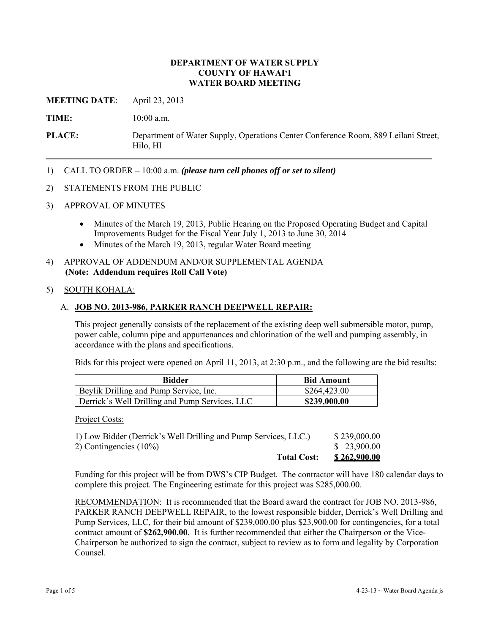### **DEPARTMENT OF WATER SUPPLY COUNTY OF HAWAI'I WATER BOARD MEETING**

**MEETING DATE**: April 23, 2013

**TIME:** 10:00 a.m.

**PLACE:** Department of Water Supply, Operations Center Conference Room, 889 Leilani Street, Hilo, HI

1) CALL TO ORDER – 10:00 a.m. *(please turn cell phones off or set to silent)*

### 2) STATEMENTS FROM THE PUBLIC

- 3) APPROVAL OF MINUTES
	- Minutes of the March 19, 2013, Public Hearing on the Proposed Operating Budget and Capital Improvements Budget for the Fiscal Year July 1, 2013 to June 30, 2014
	- Minutes of the March 19, 2013, regular Water Board meeting
- 4) APPROVAL OF ADDENDUM AND/OR SUPPLEMENTAL AGENDA **(Note: Addendum requires Roll Call Vote)**

### 5) SOUTH KOHALA:

### A. **JOB NO. 2013-986, PARKER RANCH DEEPWELL REPAIR:**

This project generally consists of the replacement of the existing deep well submersible motor, pump, power cable, column pipe and appurtenances and chlorination of the well and pumping assembly, in accordance with the plans and specifications.

Bids for this project were opened on April 11, 2013, at 2:30 p.m., and the following are the bid results:

| <b>Bidder</b>                                  | <b>Bid Amount</b> |
|------------------------------------------------|-------------------|
| Beylik Drilling and Pump Service, Inc.         | \$264,423.00      |
| Derrick's Well Drilling and Pump Services, LLC | \$239,000.00      |

Project Costs:

| <b>Total Cost:</b>                                              | <u>\$262,900.00</u> |
|-----------------------------------------------------------------|---------------------|
| 2) Contingencies $(10\%)$                                       | \$23,900.00         |
| 1) Low Bidder (Derrick's Well Drilling and Pump Services, LLC.) | \$239,000.00        |

Funding for this project will be from DWS's CIP Budget. The contractor will have 180 calendar days to complete this project. The Engineering estimate for this project was \$285,000.00.

RECOMMENDATION: It is recommended that the Board award the contract for JOB NO. 2013-986, PARKER RANCH DEEPWELL REPAIR, to the lowest responsible bidder, Derrick's Well Drilling and Pump Services, LLC, for their bid amount of \$239,000.00 plus \$23,900.00 for contingencies, for a total contract amount of **\$262,900.00**. It is further recommended that either the Chairperson or the Vice-Chairperson be authorized to sign the contract, subject to review as to form and legality by Corporation Counsel.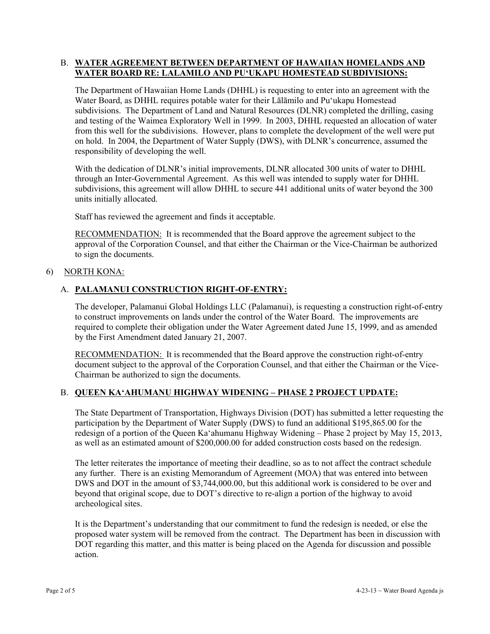### B. **WATER AGREEMENT BETWEEN DEPARTMENT OF HAWAIIAN HOMELANDS AND WATER BOARD RE: LALAMILO AND PU'UKAPU HOMESTEAD SUBDIVISIONS:**

The Department of Hawaiian Home Lands (DHHL) is requesting to enter into an agreement with the Water Board, as DHHL requires potable water for their Lālāmilo and Pu'ukapu Homestead subdivisions. The Department of Land and Natural Resources (DLNR) completed the drilling, casing and testing of the Waimea Exploratory Well in 1999. In 2003, DHHL requested an allocation of water from this well for the subdivisions. However, plans to complete the development of the well were put on hold. In 2004, the Department of Water Supply (DWS), with DLNR's concurrence, assumed the responsibility of developing the well.

With the dedication of DLNR's initial improvements, DLNR allocated 300 units of water to DHHL through an Inter-Governmental Agreement. As this well was intended to supply water for DHHL subdivisions, this agreement will allow DHHL to secure 441 additional units of water beyond the 300 units initially allocated.

Staff has reviewed the agreement and finds it acceptable.

RECOMMENDATION: It is recommended that the Board approve the agreement subject to the approval of the Corporation Counsel, and that either the Chairman or the Vice-Chairman be authorized to sign the documents.

## 6) NORTH KONA:

## A. **PALAMANUI CONSTRUCTION RIGHT-OF-ENTRY:**

The developer, Palamanui Global Holdings LLC (Palamanui), is requesting a construction right-of-entry to construct improvements on lands under the control of the Water Board. The improvements are required to complete their obligation under the Water Agreement dated June 15, 1999, and as amended by the First Amendment dated January 21, 2007.

RECOMMENDATION: It is recommended that the Board approve the construction right-of-entry document subject to the approval of the Corporation Counsel, and that either the Chairman or the Vice-Chairman be authorized to sign the documents.

## B. **QUEEN KA'AHUMANU HIGHWAY WIDENING – PHASE 2 PROJECT UPDATE:**

The State Department of Transportation, Highways Division (DOT) has submitted a letter requesting the participation by the Department of Water Supply (DWS) to fund an additional \$195,865.00 for the redesign of a portion of the Queen Ka'ahumanu Highway Widening – Phase 2 project by May 15, 2013, as well as an estimated amount of \$200,000.00 for added construction costs based on the redesign.

The letter reiterates the importance of meeting their deadline, so as to not affect the contract schedule any further. There is an existing Memorandum of Agreement (MOA) that was entered into between DWS and DOT in the amount of \$3,744,000.00, but this additional work is considered to be over and beyond that original scope, due to DOT's directive to re-align a portion of the highway to avoid archeological sites.

It is the Department's understanding that our commitment to fund the redesign is needed, or else the proposed water system will be removed from the contract. The Department has been in discussion with DOT regarding this matter, and this matter is being placed on the Agenda for discussion and possible action.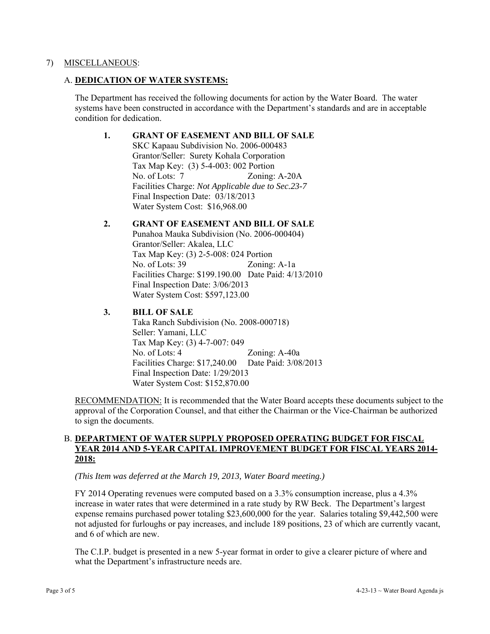### 7) MISCELLANEOUS:

### A. **DEDICATION OF WATER SYSTEMS:**

The Department has received the following documents for action by the Water Board. The water systems have been constructed in accordance with the Department's standards and are in acceptable condition for dedication.

#### **1. GRANT OF EASEMENT AND BILL OF SALE**

SKC Kapaau Subdivision No. 2006-000483 Grantor/Seller: Surety Kohala Corporation Tax Map Key: (3) 5-4-003: 002 Portion No. of Lots: 7 Zoning: A-20A Facilities Charge: *Not Applicable due to Sec.23-7*  Final Inspection Date: 03/18/2013 Water System Cost: \$16,968.00

# **2. GRANT OF EASEMENT AND BILL OF SALE**

 Punahoa Mauka Subdivision (No. 2006-000404) Grantor/Seller: Akalea, LLC Tax Map Key: (3) 2-5-008: 024 Portion No. of Lots: 39 Zoning: A-1a Facilities Charge: \$199.190.00 Date Paid: 4/13/2010 Final Inspection Date: 3/06/2013 Water System Cost: \$597,123.00

## **3. BILL OF SALE**

 Taka Ranch Subdivision (No. 2008-000718) Seller: Yamani, LLC Tax Map Key: (3) 4-7-007: 049 No. of Lots: 4 Zoning: A-40a Facilities Charge: \$17,240.00 Date Paid: 3/08/2013 Final Inspection Date: 1/29/2013 Water System Cost: \$152,870.00

RECOMMENDATION: It is recommended that the Water Board accepts these documents subject to the approval of the Corporation Counsel, and that either the Chairman or the Vice-Chairman be authorized to sign the documents.

## B. **DEPARTMENT OF WATER SUPPLY PROPOSED OPERATING BUDGET FOR FISCAL YEAR 2014 AND 5-YEAR CAPITAL IMPROVEMENT BUDGET FOR FISCAL YEARS 2014- 2018:**

*(This Item was deferred at the March 19, 2013, Water Board meeting.)* 

FY 2014 Operating revenues were computed based on a 3.3% consumption increase, plus a 4.3% increase in water rates that were determined in a rate study by RW Beck. The Department's largest expense remains purchased power totaling \$23,600,000 for the year. Salaries totaling \$9,442,500 were not adjusted for furloughs or pay increases, and include 189 positions, 23 of which are currently vacant, and 6 of which are new.

The C.I.P. budget is presented in a new 5-year format in order to give a clearer picture of where and what the Department's infrastructure needs are.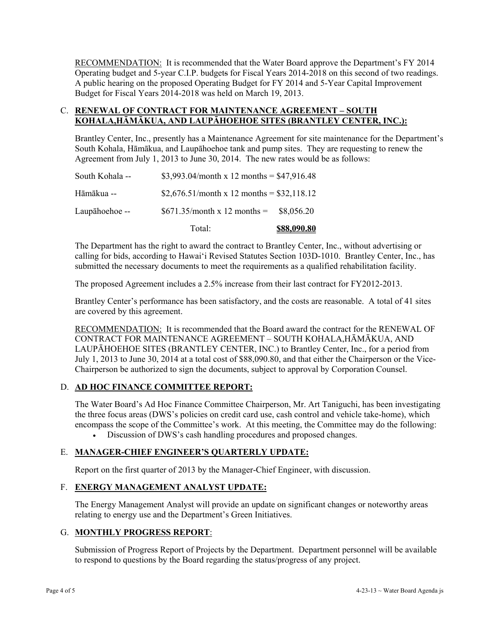RECOMMENDATION: It is recommended that the Water Board approve the Department's FY 2014 Operating budget and 5-year C.I.P. budgets for Fiscal Years 2014-2018 on this second of two readings. A public hearing on the proposed Operating Budget for FY 2014 and 5-Year Capital Improvement Budget for Fiscal Years 2014-2018 was held on March 19, 2013.

## C. **RENEWAL OF CONTRACT FOR MAINTENANCE AGREEMENT – SOUTH KOHALA,HĀMĀKUA, AND LAUPĀHOEHOE SITES (BRANTLEY CENTER, INC.):**

Brantley Center, Inc., presently has a Maintenance Agreement for site maintenance for the Department's South Kohala, Hāmākua, and Laupāhoehoe tank and pump sites. They are requesting to renew the Agreement from July 1, 2013 to June 30, 2014. The new rates would be as follows:

|                 | Total:                                      | <b>\$88,090.80</b> |
|-----------------|---------------------------------------------|--------------------|
| Laupāhoehoe --  | $$671.35/month x 12 months =$               | \$8.056.20         |
| Hāmākua --      | \$2,676.51/month x 12 months = \$32,118.12  |                    |
| South Kohala -- | \$3,993.04/month x 12 months = $$47,916.48$ |                    |

The Department has the right to award the contract to Brantley Center, Inc., without advertising or calling for bids, according to Hawai'i Revised Statutes Section 103D-1010. Brantley Center, Inc., has submitted the necessary documents to meet the requirements as a qualified rehabilitation facility.

The proposed Agreement includes a 2.5% increase from their last contract for FY2012-2013.

Brantley Center's performance has been satisfactory, and the costs are reasonable. A total of 41 sites are covered by this agreement.

RECOMMENDATION: It is recommended that the Board award the contract for the RENEWAL OF CONTRACT FOR MAINTENANCE AGREEMENT – SOUTH KOHALA,HĀMĀKUA, AND LAUPĀHOEHOE SITES (BRANTLEY CENTER, INC.) to Brantley Center, Inc., for a period from July 1, 2013 to June 30, 2014 at a total cost of \$88,090.80, and that either the Chairperson or the Vice-Chairperson be authorized to sign the documents, subject to approval by Corporation Counsel.

## D. **AD HOC FINANCE COMMITTEE REPORT:**

The Water Board's Ad Hoc Finance Committee Chairperson, Mr. Art Taniguchi, has been investigating the three focus areas (DWS's policies on credit card use, cash control and vehicle take-home), which encompass the scope of the Committee's work. At this meeting, the Committee may do the following:

Discussion of DWS's cash handling procedures and proposed changes.

## E. **MANAGER-CHIEF ENGINEER'S QUARTERLY UPDATE:**

Report on the first quarter of 2013 by the Manager-Chief Engineer, with discussion.

## F. **ENERGY MANAGEMENT ANALYST UPDATE:**

The Energy Management Analyst will provide an update on significant changes or noteworthy areas relating to energy use and the Department's Green Initiatives.

## G. **MONTHLY PROGRESS REPORT**:

Submission of Progress Report of Projects by the Department. Department personnel will be available to respond to questions by the Board regarding the status/progress of any project.